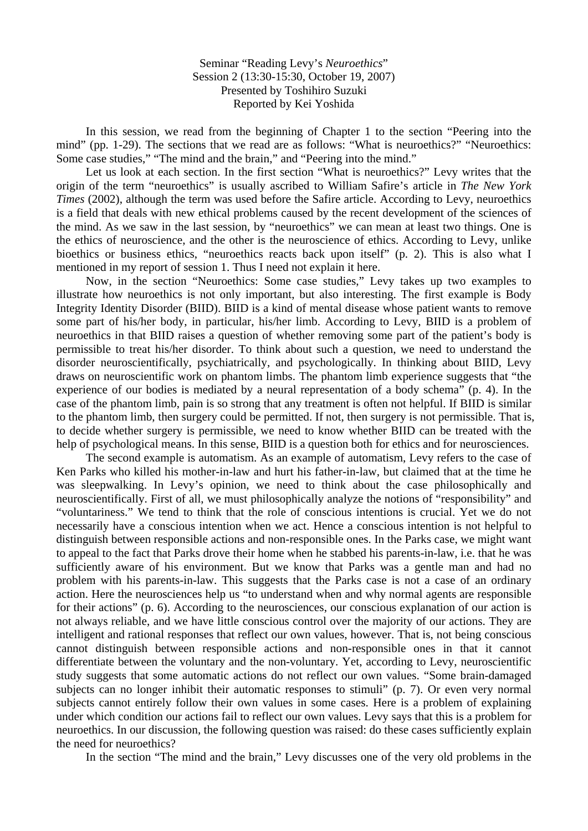Seminar "Reading Levy's *Neuroethics*" Session 2 (13:30-15:30, October 19, 2007) Presented by Toshihiro Suzuki Reported by Kei Yoshida

 In this session, we read from the beginning of Chapter 1 to the section "Peering into the mind" (pp. 1-29). The sections that we read are as follows: "What is neuroethics?" "Neuroethics: Some case studies," "The mind and the brain," and "Peering into the mind."

 Let us look at each section. In the first section "What is neuroethics?" Levy writes that the origin of the term "neuroethics" is usually ascribed to William Safire's article in *The New York Times* (2002), although the term was used before the Safire article. According to Levy, neuroethics is a field that deals with new ethical problems caused by the recent development of the sciences of the mind. As we saw in the last session, by "neuroethics" we can mean at least two things. One is the ethics of neuroscience, and the other is the neuroscience of ethics. According to Levy, unlike bioethics or business ethics, "neuroethics reacts back upon itself" (p. 2). This is also what I mentioned in my report of session 1. Thus I need not explain it here.

 Now, in the section "Neuroethics: Some case studies," Levy takes up two examples to illustrate how neuroethics is not only important, but also interesting. The first example is Body Integrity Identity Disorder (BIID). BIID is a kind of mental disease whose patient wants to remove some part of his/her body, in particular, his/her limb. According to Levy, BIID is a problem of neuroethics in that BIID raises a question of whether removing some part of the patient's body is permissible to treat his/her disorder. To think about such a question, we need to understand the disorder neuroscientifically, psychiatrically, and psychologically. In thinking about BIID, Levy draws on neuroscientific work on phantom limbs. The phantom limb experience suggests that "the experience of our bodies is mediated by a neural representation of a body schema" (p. 4). In the case of the phantom limb, pain is so strong that any treatment is often not helpful. If BIID is similar to the phantom limb, then surgery could be permitted. If not, then surgery is not permissible. That is, to decide whether surgery is permissible, we need to know whether BIID can be treated with the help of psychological means. In this sense, BIID is a question both for ethics and for neurosciences.

 The second example is automatism. As an example of automatism, Levy refers to the case of Ken Parks who killed his mother-in-law and hurt his father-in-law, but claimed that at the time he was sleepwalking. In Levy's opinion, we need to think about the case philosophically and neuroscientifically. First of all, we must philosophically analyze the notions of "responsibility" and "voluntariness." We tend to think that the role of conscious intentions is crucial. Yet we do not necessarily have a conscious intention when we act. Hence a conscious intention is not helpful to distinguish between responsible actions and non-responsible ones. In the Parks case, we might want to appeal to the fact that Parks drove their home when he stabbed his parents-in-law, i.e. that he was sufficiently aware of his environment. But we know that Parks was a gentle man and had no problem with his parents-in-law. This suggests that the Parks case is not a case of an ordinary action. Here the neurosciences help us "to understand when and why normal agents are responsible for their actions" (p. 6). According to the neurosciences, our conscious explanation of our action is not always reliable, and we have little conscious control over the majority of our actions. They are intelligent and rational responses that reflect our own values, however. That is, not being conscious cannot distinguish between responsible actions and non-responsible ones in that it cannot differentiate between the voluntary and the non-voluntary. Yet, according to Levy, neuroscientific study suggests that some automatic actions do not reflect our own values. "Some brain-damaged subjects can no longer inhibit their automatic responses to stimuli" (p. 7). Or even very normal subjects cannot entirely follow their own values in some cases. Here is a problem of explaining under which condition our actions fail to reflect our own values. Levy says that this is a problem for neuroethics. In our discussion, the following question was raised: do these cases sufficiently explain the need for neuroethics?

In the section "The mind and the brain," Levy discusses one of the very old problems in the